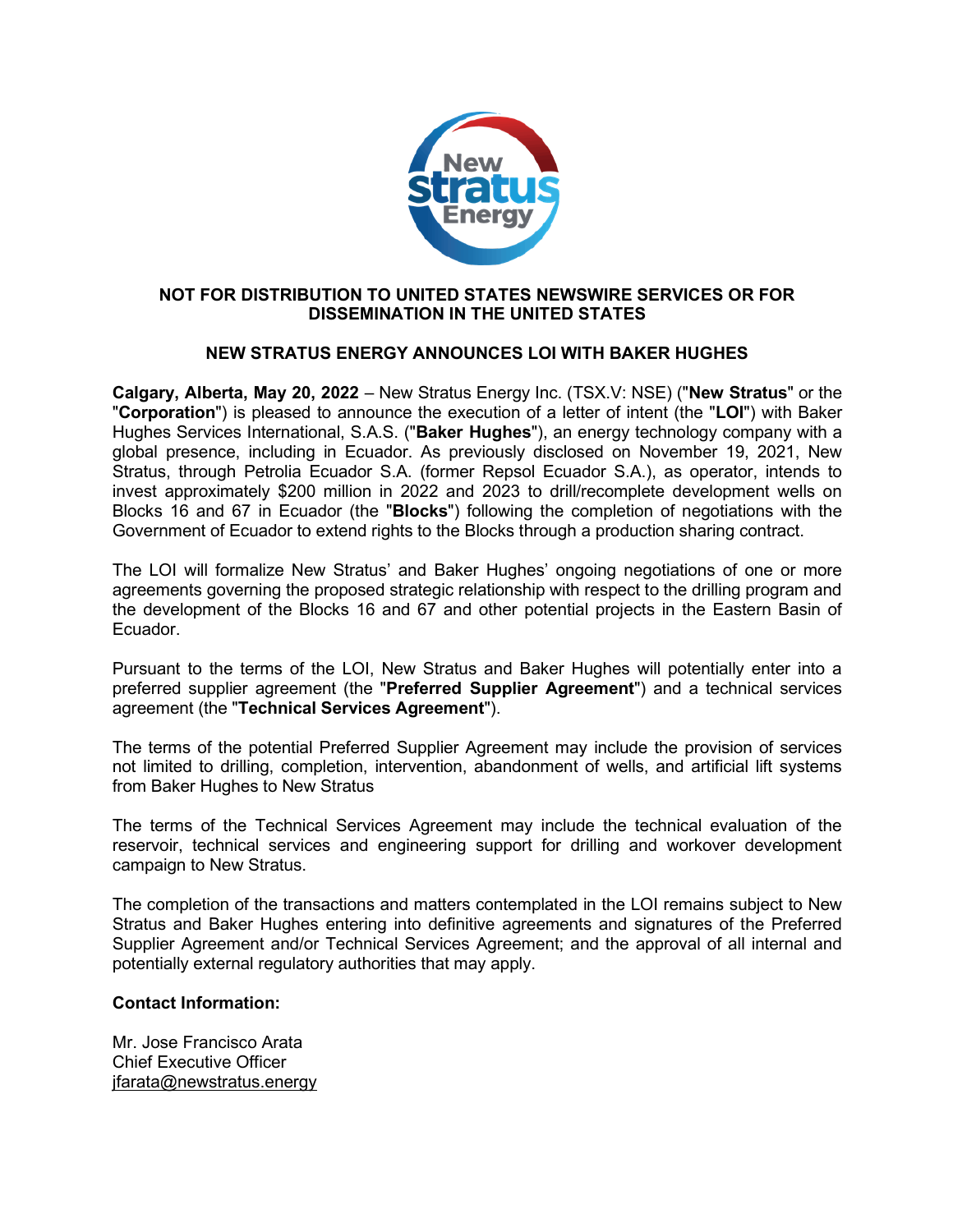

## NOT FOR DISTRIBUTION TO UNITED STATES NEWSWIRE SERVICES OR FOR DISSEMINATION IN THE UNITED STATES

## NEW STRATUS ENERGY ANNOUNCES LOI WITH BAKER HUGHES

Calgary, Alberta, May 20, 2022 – New Stratus Energy Inc. (TSX.V: NSE) ("New Stratus" or the "Corporation") is pleased to announce the execution of a letter of intent (the "LOI") with Baker Hughes Services International, S.A.S. ("Baker Hughes"), an energy technology company with a global presence, including in Ecuador. As previously disclosed on November 19, 2021, New Stratus, through Petrolia Ecuador S.A. (former Repsol Ecuador S.A.), as operator, intends to invest approximately \$200 million in 2022 and 2023 to drill/recomplete development wells on Blocks 16 and 67 in Ecuador (the "Blocks") following the completion of negotiations with the Government of Ecuador to extend rights to the Blocks through a production sharing contract.

The LOI will formalize New Stratus' and Baker Hughes' ongoing negotiations of one or more agreements governing the proposed strategic relationship with respect to the drilling program and the development of the Blocks 16 and 67 and other potential projects in the Eastern Basin of Ecuador.

Pursuant to the terms of the LOI, New Stratus and Baker Hughes will potentially enter into a preferred supplier agreement (the "Preferred Supplier Agreement") and a technical services agreement (the "Technical Services Agreement").

The terms of the potential Preferred Supplier Agreement may include the provision of services not limited to drilling, completion, intervention, abandonment of wells, and artificial lift systems from Baker Hughes to New Stratus

The terms of the Technical Services Agreement may include the technical evaluation of the reservoir, technical services and engineering support for drilling and workover development campaign to New Stratus.

The completion of the transactions and matters contemplated in the LOI remains subject to New Stratus and Baker Hughes entering into definitive agreements and signatures of the Preferred Supplier Agreement and/or Technical Services Agreement; and the approval of all internal and potentially external regulatory authorities that may apply.

## Contact Information:

Mr. Jose Francisco Arata Chief Executive Officer jfarata@newstratus.energy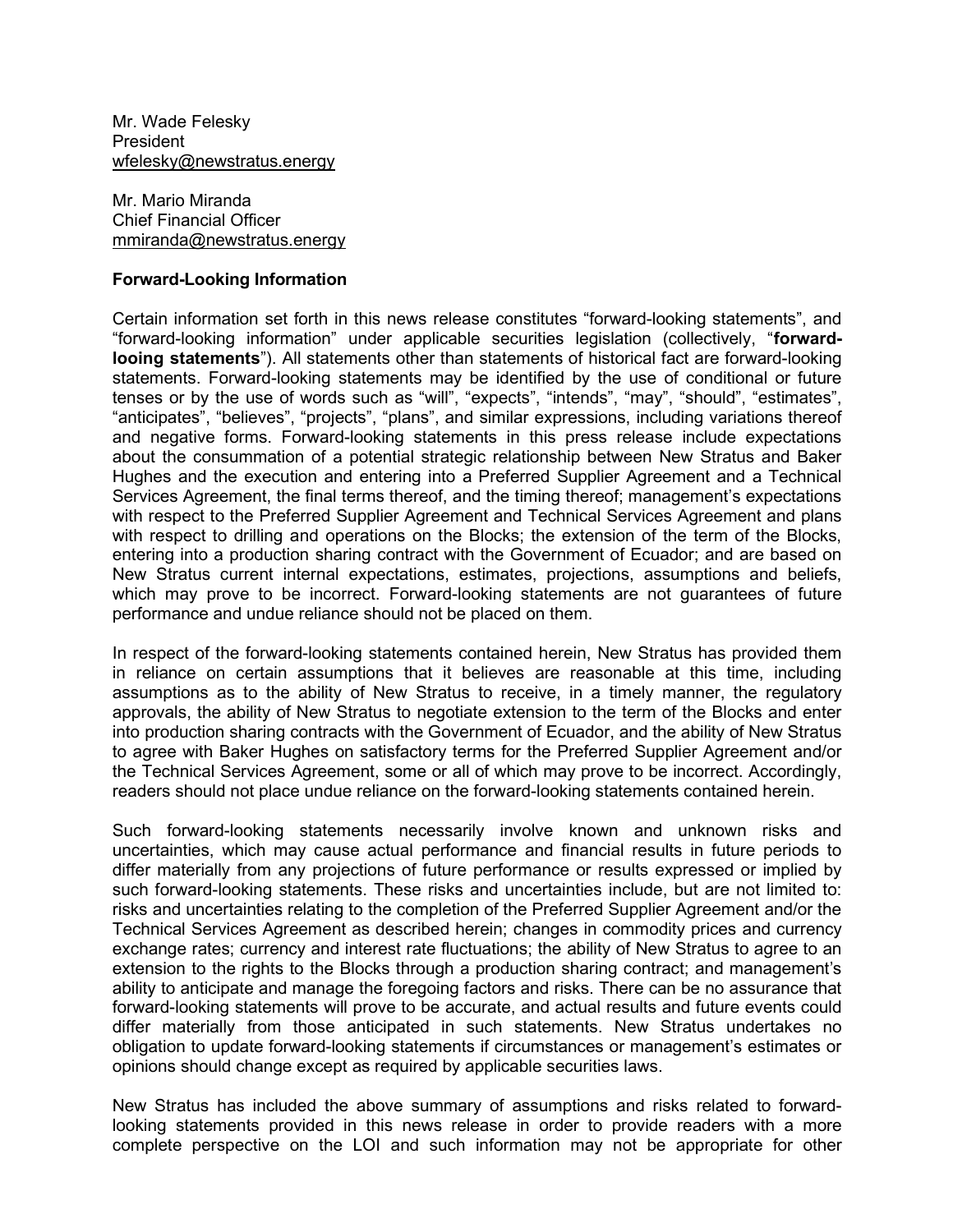Mr. Wade Felesky President wfelesky@newstratus.energy

Mr. Mario Miranda Chief Financial Officer mmiranda@newstratus.energy

## Forward-Looking Information

Certain information set forth in this news release constitutes "forward-looking statements", and "forward-looking information" under applicable securities legislation (collectively, "forwardlooing statements"). All statements other than statements of historical fact are forward-looking statements. Forward-looking statements may be identified by the use of conditional or future tenses or by the use of words such as "will", "expects", "intends", "may", "should", "estimates", "anticipates", "believes", "projects", "plans", and similar expressions, including variations thereof and negative forms. Forward-looking statements in this press release include expectations about the consummation of a potential strategic relationship between New Stratus and Baker Hughes and the execution and entering into a Preferred Supplier Agreement and a Technical Services Agreement, the final terms thereof, and the timing thereof; management's expectations with respect to the Preferred Supplier Agreement and Technical Services Agreement and plans with respect to drilling and operations on the Blocks; the extension of the term of the Blocks, entering into a production sharing contract with the Government of Ecuador; and are based on New Stratus current internal expectations, estimates, projections, assumptions and beliefs, which may prove to be incorrect. Forward-looking statements are not guarantees of future performance and undue reliance should not be placed on them.

In respect of the forward-looking statements contained herein, New Stratus has provided them in reliance on certain assumptions that it believes are reasonable at this time, including assumptions as to the ability of New Stratus to receive, in a timely manner, the regulatory approvals, the ability of New Stratus to negotiate extension to the term of the Blocks and enter into production sharing contracts with the Government of Ecuador, and the ability of New Stratus to agree with Baker Hughes on satisfactory terms for the Preferred Supplier Agreement and/or the Technical Services Agreement, some or all of which may prove to be incorrect. Accordingly, readers should not place undue reliance on the forward-looking statements contained herein.

Such forward-looking statements necessarily involve known and unknown risks and uncertainties, which may cause actual performance and financial results in future periods to differ materially from any projections of future performance or results expressed or implied by such forward-looking statements. These risks and uncertainties include, but are not limited to: risks and uncertainties relating to the completion of the Preferred Supplier Agreement and/or the Technical Services Agreement as described herein; changes in commodity prices and currency exchange rates; currency and interest rate fluctuations; the ability of New Stratus to agree to an extension to the rights to the Blocks through a production sharing contract; and management's ability to anticipate and manage the foregoing factors and risks. There can be no assurance that forward-looking statements will prove to be accurate, and actual results and future events could differ materially from those anticipated in such statements. New Stratus undertakes no obligation to update forward-looking statements if circumstances or management's estimates or opinions should change except as required by applicable securities laws.

New Stratus has included the above summary of assumptions and risks related to forwardlooking statements provided in this news release in order to provide readers with a more complete perspective on the LOI and such information may not be appropriate for other